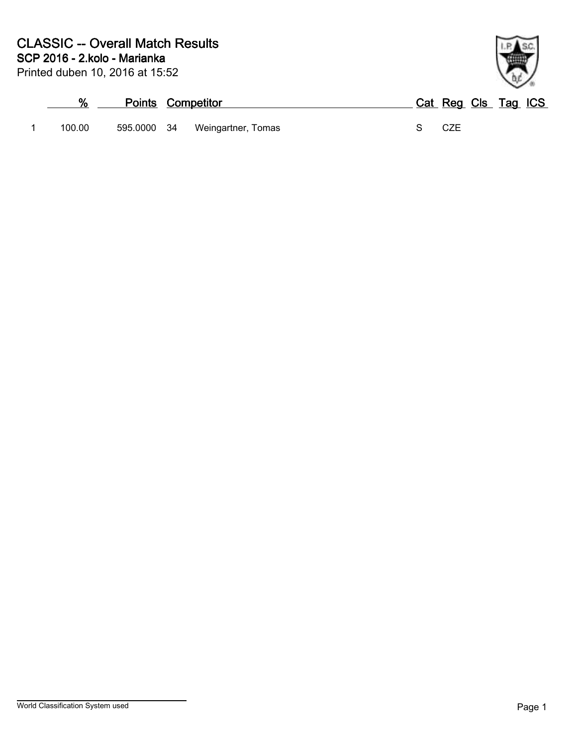

|        | <b>Points Competitor</b> |                    | Cat Reg Cls Tag ICS |  |  |
|--------|--------------------------|--------------------|---------------------|--|--|
| 100.00 | 595.0000 34              | Weingartner, Tomas | CZE                 |  |  |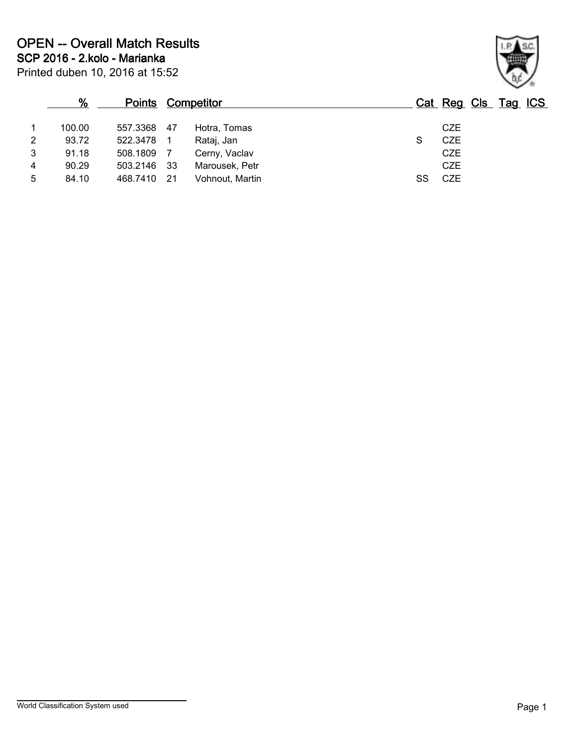|                | %      | <b>Points Competitor</b> |      |                 |   | Cat Reg Cls Tag ICS |  |  |
|----------------|--------|--------------------------|------|-----------------|---|---------------------|--|--|
|                | 100.00 | 557.3368                 | 47   | Hotra, Tomas    |   | <b>CZE</b>          |  |  |
| 2              | 93.72  | 522.3478                 |      | Rataj, Jan      | S | <b>CZE</b>          |  |  |
| 3              | 91.18  | 508.1809                 |      | Cerny, Vaclav   |   | <b>CZE</b>          |  |  |
| $\overline{4}$ | 90.29  | 503.2146                 | - 33 | Marousek, Petr  |   | <b>CZE</b>          |  |  |
| 5              | 84.10  | 468.7410                 | -21  | Vohnout, Martin |   | <b>CZE</b>          |  |  |

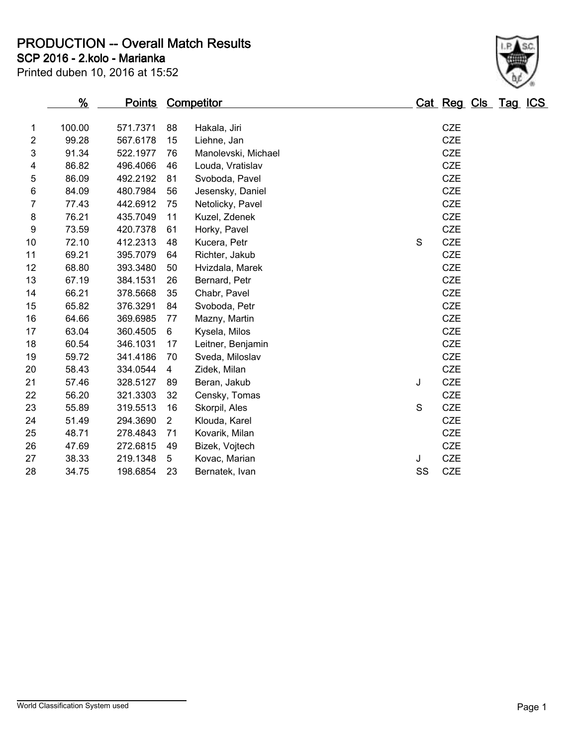**PRODUCTION -- Overall Match Results**

**SCP 2016 - 2.kolo - Marianka**

|                | <u>%</u> | <u>Points</u> |                | <b>Competitor</b>   |             | <u> Cat Reg Cls Tag ICS</u> |  |  |
|----------------|----------|---------------|----------------|---------------------|-------------|-----------------------------|--|--|
| 1              | 100.00   | 571.7371      | 88             | Hakala, Jiri        |             | <b>CZE</b>                  |  |  |
| $\overline{c}$ | 99.28    | 567.6178      | 15             | Liehne, Jan         |             | <b>CZE</b>                  |  |  |
| 3              | 91.34    | 522.1977      | 76             | Manolevski, Michael |             | <b>CZE</b>                  |  |  |
| 4              | 86.82    | 496.4066      | 46             | Louda, Vratislav    |             | <b>CZE</b>                  |  |  |
| 5              | 86.09    | 492.2192      | 81             | Svoboda, Pavel      |             | <b>CZE</b>                  |  |  |
| 6              | 84.09    | 480.7984      | 56             | Jesensky, Daniel    |             | CZE                         |  |  |
| 7              | 77.43    | 442.6912      | 75             | Netolicky, Pavel    |             | <b>CZE</b>                  |  |  |
| 8              | 76.21    | 435.7049      | 11             | Kuzel, Zdenek       |             | <b>CZE</b>                  |  |  |
| 9              | 73.59    | 420.7378      | 61             | Horky, Pavel        |             | <b>CZE</b>                  |  |  |
| 10             | 72.10    | 412.2313      | 48             | Kucera, Petr        | S           | <b>CZE</b>                  |  |  |
| 11             | 69.21    | 395.7079      | 64             | Richter, Jakub      |             | <b>CZE</b>                  |  |  |
| 12             | 68.80    | 393.3480      | 50             | Hvizdala, Marek     |             | <b>CZE</b>                  |  |  |
| 13             | 67.19    | 384.1531      | 26             | Bernard, Petr       |             | <b>CZE</b>                  |  |  |
| 14             | 66.21    | 378.5668      | 35             | Chabr, Pavel        |             | <b>CZE</b>                  |  |  |
| 15             | 65.82    | 376.3291      | 84             | Svoboda, Petr       |             | <b>CZE</b>                  |  |  |
| 16             | 64.66    | 369.6985      | 77             | Mazny, Martin       |             | <b>CZE</b>                  |  |  |
| 17             | 63.04    | 360.4505      | 6              | Kysela, Milos       |             | <b>CZE</b>                  |  |  |
| 18             | 60.54    | 346.1031      | 17             | Leitner, Benjamin   |             | <b>CZE</b>                  |  |  |
| 19             | 59.72    | 341.4186      | 70             | Sveda, Miloslav     |             | <b>CZE</b>                  |  |  |
| 20             | 58.43    | 334.0544      | 4              | Zidek, Milan        |             | <b>CZE</b>                  |  |  |
| 21             | 57.46    | 328.5127      | 89             | Beran, Jakub        | J           | <b>CZE</b>                  |  |  |
| 22             | 56.20    | 321.3303      | 32             | Censky, Tomas       |             | <b>CZE</b>                  |  |  |
| 23             | 55.89    | 319.5513      | 16             | Skorpil, Ales       | $\mathbf S$ | CZE                         |  |  |
| 24             | 51.49    | 294.3690      | $\overline{2}$ | Klouda, Karel       |             | <b>CZE</b>                  |  |  |
| 25             | 48.71    | 278.4843      | 71             | Kovarik, Milan      |             | CZE                         |  |  |
| 26             | 47.69    | 272.6815      | 49             | Bizek, Vojtech      |             | <b>CZE</b>                  |  |  |
| 27             | 38.33    | 219.1348      | 5              | Kovac, Marian       | J           | <b>CZE</b>                  |  |  |
| 28             | 34.75    | 198.6854      | 23             | Bernatek, Ivan      | SS          | CZE                         |  |  |
|                |          |               |                |                     |             |                             |  |  |

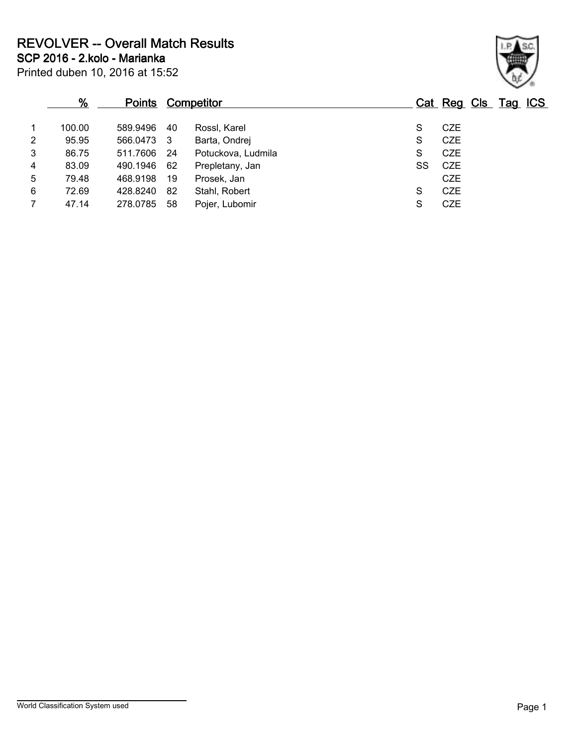**REVOLVER -- Overall Match Results**

Printed duben 10, 2016 at 15:52 **SCP 2016 - 2.kolo - Marianka**

|   | %      | <b>Points</b> |      | Competitor         |    | Cat Reg Cls Tag ICS |  |  |
|---|--------|---------------|------|--------------------|----|---------------------|--|--|
|   | 100.00 | 589.9496      | 40   | Rossl, Karel       | S  | <b>CZE</b>          |  |  |
| 2 | 95.95  | 566.0473 3    |      | Barta, Ondrej      | S  | <b>CZE</b>          |  |  |
| 3 | 86.75  | 511.7606      | - 24 | Potuckova, Ludmila | S  | <b>CZE</b>          |  |  |
| 4 | 83.09  | 490.1946      | 62   | Prepletany, Jan    | SS | CZE                 |  |  |
| 5 | 79.48  | 468.9198      | 19   | Prosek, Jan        |    | <b>CZE</b>          |  |  |
| 6 | 72.69  | 428.8240      | 82   | Stahl, Robert      | S  | CZE                 |  |  |
|   | 47.14  | 278.0785      | 58   | Pojer, Lubomir     | S  | <b>CZE</b>          |  |  |
|   |        |               |      |                    |    |                     |  |  |

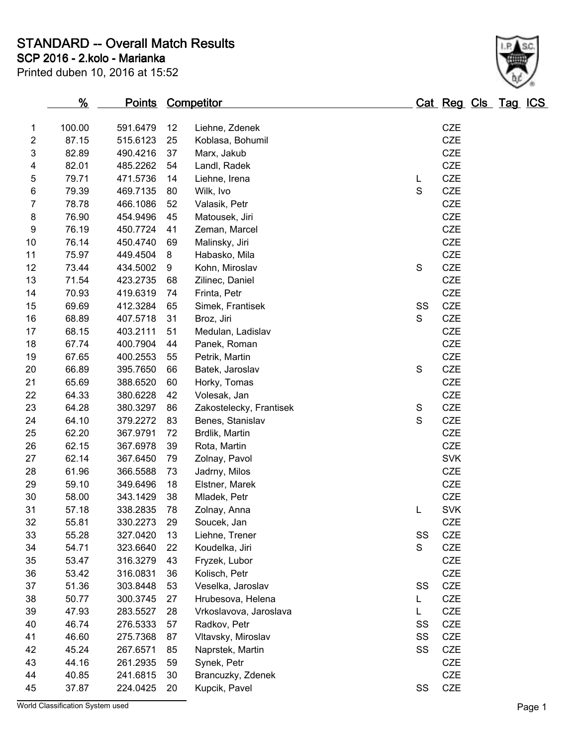**STANDARD -- Overall Match Results**

**SCP 2016 - 2.kolo - Marianka**

| Printed duben 10, 2016 at 15:52 |  |  |  |  |
|---------------------------------|--|--|--|--|
|---------------------------------|--|--|--|--|



| $\overline{c}$            | 87.15 | 515.6123 | 25 | Koblasa, Bohumil        |             | <b>CZE</b> |
|---------------------------|-------|----------|----|-------------------------|-------------|------------|
| $\ensuremath{\mathsf{3}}$ | 82.89 | 490.4216 | 37 | Marx, Jakub             |             | <b>CZE</b> |
| 4                         | 82.01 | 485.2262 | 54 | Landl, Radek            |             | CZE        |
| $\mathbf 5$               | 79.71 | 471.5736 | 14 | Liehne, Irena           | L           | CZE        |
| $\,6$                     | 79.39 | 469.7135 | 80 | Wilk, Ivo               | $\mathbf S$ | CZE        |
| $\boldsymbol{7}$          | 78.78 | 466.1086 | 52 | Valasik, Petr           |             | <b>CZE</b> |
| 8                         | 76.90 | 454.9496 | 45 | Matousek, Jiri          |             | CZE        |
| $\boldsymbol{9}$          | 76.19 | 450.7724 | 41 | Zeman, Marcel           |             | CZE        |
| 10                        | 76.14 | 450.4740 | 69 | Malinsky, Jiri          |             | CZE        |
| 11                        | 75.97 | 449.4504 | 8  | Habasko, Mila           |             | <b>CZE</b> |
| 12                        | 73.44 | 434.5002 | 9  | Kohn, Miroslav          | $\mathbf S$ | <b>CZE</b> |
| 13                        | 71.54 | 423.2735 | 68 | Zilinec, Daniel         |             | CZE        |
| 14                        | 70.93 | 419.6319 | 74 | Frinta, Petr            |             | CZE        |
| 15                        | 69.69 | 412.3284 | 65 | Simek, Frantisek        | SS          | <b>CZE</b> |
| 16                        | 68.89 | 407.5718 | 31 | Broz, Jiri              | S           | <b>CZE</b> |
| 17                        | 68.15 | 403.2111 | 51 | Medulan, Ladislav       |             | CZE        |
| 18                        | 67.74 | 400.7904 | 44 | Panek, Roman            |             | CZE        |
| 19                        | 67.65 | 400.2553 | 55 | Petrik, Martin          |             | <b>CZE</b> |
| 20                        | 66.89 | 395.7650 | 66 | Batek, Jaroslav         | $\mathbf S$ | CZE        |
| 21                        | 65.69 | 388.6520 | 60 | Horky, Tomas            |             | CZE        |
| 22                        | 64.33 | 380.6228 | 42 | Volesak, Jan            |             | CZE        |
| 23                        | 64.28 | 380.3297 | 86 | Zakostelecky, Frantisek | S           | <b>CZE</b> |
| 24                        | 64.10 | 379.2272 | 83 | Benes, Stanislav        | S           | CZE        |
| 25                        | 62.20 | 367.9791 | 72 | Brdlik, Martin          |             | CZE        |
| 26                        | 62.15 | 367.6978 | 39 | Rota, Martin            |             | CZE        |
| 27                        | 62.14 | 367.6450 | 79 | Zolnay, Pavol           |             | <b>SVK</b> |
| 28                        | 61.96 | 366.5588 | 73 | Jadrny, Milos           |             | <b>CZE</b> |
| 29                        | 59.10 | 349.6496 | 18 | Elstner, Marek          |             | CZE        |
| 30                        | 58.00 | 343.1429 | 38 | Mladek, Petr            |             | <b>CZE</b> |
| 31                        | 57.18 | 338.2835 | 78 | Zolnay, Anna            | L           | <b>SVK</b> |
| 32                        | 55.81 | 330.2273 | 29 | Soucek, Jan             |             | <b>CZE</b> |
| 33                        | 55.28 | 327.0420 | 13 | Liehne, Trener          | SS          | CZE        |
| 34                        | 54.71 | 323.6640 | 22 | Koudelka, Jiri          | S           | CZE        |
| 35                        | 53.47 | 316.3279 | 43 | Fryzek, Lubor           |             | CZE        |
| 36                        | 53.42 | 316.0831 | 36 | Kolisch, Petr           |             | CZE        |
| 37                        | 51.36 | 303.8448 | 53 | Veselka, Jaroslav       | SS          | <b>CZE</b> |
| 38                        | 50.77 | 300.3745 | 27 | Hrubesova, Helena       | L           | CZE        |
| 39                        | 47.93 | 283.5527 | 28 | Vrkoslavova, Jaroslava  | L           | CZE        |
| 40                        | 46.74 | 276.5333 | 57 | Radkov, Petr            | SS          | CZE        |
| 41                        | 46.60 | 275.7368 | 87 | Vltavsky, Miroslav      | SS          | CZE        |
| 42                        | 45.24 | 267.6571 | 85 | Naprstek, Martin        | SS          | CZE        |
| 43                        | 44.16 | 261.2935 | 59 | Synek, Petr             |             | CZE        |
| 44                        | 40.85 | 241.6815 | 30 | Brancuzky, Zdenek       |             | CZE        |
| 45                        | 37.87 | 224.0425 | 20 | Kupcik, Pavel           | SS          | CZE        |

World Classification System used **Page 1**